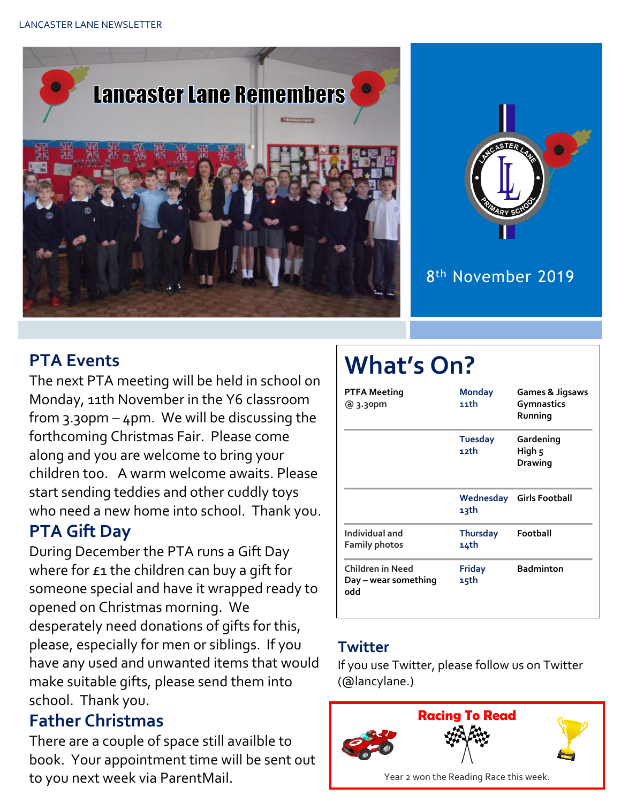



#### 8 th November 2019

## **PTA Events**

The next PTA meeting will be held in school on Monday, 11th November in the Y6 classroom from 3.30pm – 4pm. We will be discussing the forthcoming Christmas Fair. Please come along and you are welcome to bring your children too. A warm welcome awaits. Please start sending teddies and other cuddly toys who need a new home into school. Thank you.

## **PTA Gift Day**

During December the PTA runs a Gift Day where for £1 the children can buy a gift for someone special and have it wrapped ready to opened on Christmas morning. We desperately need donations of gifts for this, please, especially for men or siblings. If you have any used and unwanted items that would make suitable gifts, please send them into school. Thank you.

#### **Father Christmas**

There are a couple of space still availble to book. Your appointment time will be sent out to you next week via ParentMail.

# **What's On?**

| PTFA Meeting<br>@ 3.30pm                        | <b>Monday</b><br>11th   | <b>Games &amp; Jigsaws</b><br>Gymnastics<br>Running |  |
|-------------------------------------------------|-------------------------|-----------------------------------------------------|--|
|                                                 | <b>Tuesday</b><br>12th  | Gardening<br>High 5<br><b>Drawing</b>               |  |
|                                                 | 13th                    | <b>Wednesday</b> Girls Football                     |  |
| Individual and<br>Family photos                 | <b>Thursday</b><br>14th | Football                                            |  |
| Children in Need<br>Day – wear something<br>odd | <b>Friday</b><br>15th   | <b>Badminton</b>                                    |  |

#### **Twitter**

If you use Twitter, please follow us on Twitter (@lancylane.)

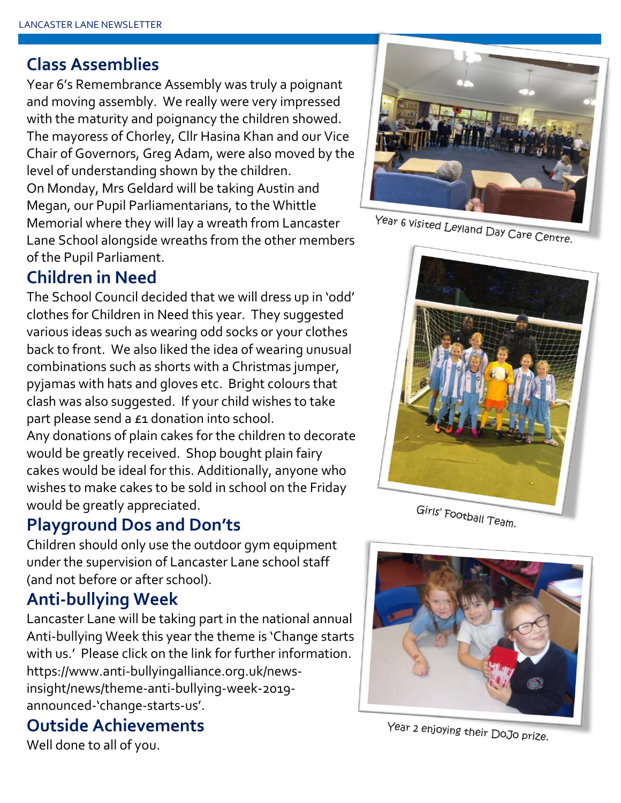#### **Class Assemblies**

Year 6's Remembrance Assembly was truly a poignant and moving assembly. We really were very impressed with the maturity and poignancy the children showed. The mayoress of Chorley, Cllr Hasina Khan and our Vice Chair of Governors, Greg Adam, were also moved by the level of understanding shown by the children. On Monday, Mrs Geldard will be taking Austin and Megan, our Pupil Parliamentarians, to the Whittle Memorial where they will lay a wreath from Lancaster Lane School alongside wreaths from the other members of the Pupil Parliament.

#### **Children in Need**

The School Council decided that we will dress up in 'odd' clothes for Children in Need this year. They suggested various ideas such as wearing odd socks or your clothes back to front. We also liked the idea of wearing unusual combinations such as shorts with a Christmas jumper, pyjamas with hats and gloves etc. Bright colours that clash was also suggested. If your child wishes to take part please send a £1 donation into school. Any donations of plain cakes for the children to decorate would be greatly received. Shop bought plain fairy cakes would be ideal for this. Additionally, anyone who wishes to make cakes to be sold in school on the Friday would be greatly appreciated.

## **Playground Dos and Don'ts**

Children should only use the outdoor gym equipment under the supervision of Lancaster Lane school staff (and not before or after school).

# **Anti-bullying Week**

Lancaster Lane will be taking part in the national annual Anti-bullying Week this year the theme is 'Change starts with us.' Please click on the link for further information. https://www.anti-bullyingalliance.org.uk/newsinsight/news/theme-anti-bullying-week-2019 announced-'change-starts-us'.

#### **Outside Achievements**

Well done to all of you.

Year 6 visited Leyland Day Care Centre.



Girls' Football Team.



Year 2 enjoying their DoJo prize.